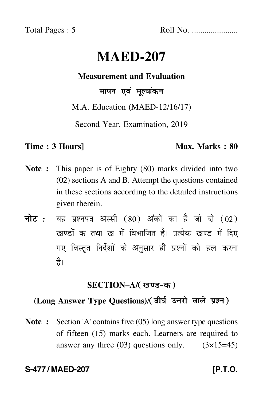Total Pages : 5 Roll No. ......................

# **MAED-207**

#### **Measurement and Evaluation**

#### मापन एवं मूल्यांकन

#### M.A. Education (MAED-12/16/17)

Second Year, Examination, 2019

#### **Time : 3 Hours]** Max. Marks : 80

- **Note :** This paper is of Eighty (80) marks divided into two (02) sections A and B. Attempt the questions contained in these sections according to the detailed instructions given therein.
- नोट : यह प्रश्नपत्र अस्सी (80) अंकों का है जो दो (02) खण्डों क तथा ख में विभाजित है। प्रत्येक खण्ड में दिए गए विस्तृत निर्देशों के अनुसार ही प्रश्नों को हल करन<mark>ा</mark> है।

#### **SECTION–A/**-

## (Long Answer Type Questions)/( दीर्घ उत्तरों वाले प्रश्न )

**Note :** Section 'A' contains five (05) long answer type questions of fifteen (15) marks each. Learners are required to answer any three  $(03)$  questions only.  $(3\times15=45)$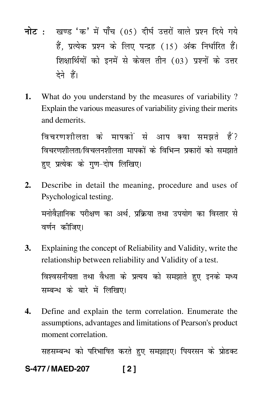- <mark>नोट</mark> : खण्ड 'क' में पाँच (05) दीर्घ उत्तरों वाले प्रश्न दिये गये हैं, प्रत्येक प्रश्न के लिए पन्द्रह (15) अंक निर्धारित हैं। शिक्षार्थियों को इनमें से केवल तीन (03) प्रश्नों के उत्तर देने हैं।
- **1.** What do you understand by the measures of variability ? Explain the various measures of variability giving their merits and demerits.

विचरणशीलता के मापकों से आप क्या समझते हैं? विचरणशीलता/विचलनशीलता मापकों के विभिन्न प्रकारों को समझाते हए प्रत्येक के गण-दोष लिखिए।

- **2.** Describe in detail the meaning, procedure and uses of Psychological testing. मनोवैज्ञानिक परीक्षण का अर्थ, प्रक्रिया तथा उपयोग का विस्तार से वर्णन क<mark>ी</mark>जिए।
- **3.** Explaining the concept of Reliability and Validity, write the relationship between reliability and Validity of a test. विश्वसनीयता तथा वैधता के प्रत्यय को समझाते हुए इनके मध्य सम्बन्ध के बारे में लिखिए।
- **4.** Define and explain the term correlation. Enumerate the assumptions, advantages and limitations of Pearson's product moment correlation.

सहसम्बन्ध को परिभाषित करते हुए समझाइए। पियरसन के प्रोडक्ट

### **S-477 / MAED-207 [ 2 ]**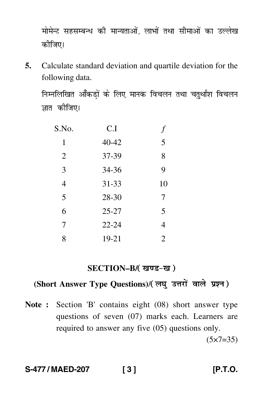मोमेन्ट सहसम्बन्ध की मान्यताओं, लाभों तथा सीमाओं का उल्लेख कीजिए।

**5.** Calculate standard deviation and quartile deviation for the following data.

निम्नलिखित आँकड़ों के लिए मानक विचलन तथा चतुर्थांश विचलन ज्ञात कीजिए।

| S.No.          | C.I       |                |
|----------------|-----------|----------------|
| 1              | 40-42     | 5              |
| $\overline{2}$ | 37-39     | 8              |
| 3              | 34-36     | 9              |
| 4              | $31 - 33$ | 10             |
| 5              | 28-30     | 7              |
| 6              | $25 - 27$ | 5              |
| 7              | $22 - 24$ | 4              |
| 8              | 19-21     | $\overline{2}$ |

#### SECTION–B/(खण्ड-ख)

### (Short Answer Type Questions)/(लघु उत्तरों वाले प्रश्न)

**Note :** Section 'B' contains eight (08) short answer type questions of seven (07) marks each. Learners are required to answer any five (05) questions only.

 $(5 \times 7 = 35)$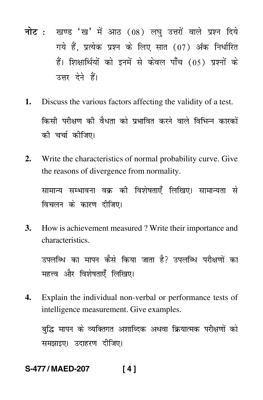- नोट : खण्ड 'ख' में आठ (08) लघु उत्तरों वाले प्रश्न दिये गये हैं, प्रत्येक प्रश्न के लिए सात (07) अंक निर्धारित हैं। शिक्षार्थियों को इनमें से केवल पाँच (05) प्रश्नों के उत्तर देने हैं।
- $1<sub>1</sub>$ Discuss the various factors affecting the validity of a test. किसी परीक्षण की वैधता को प्रभावित करने वाले विभिन्न कारकों की चर्चा कीजिए।
- $2.$ Write the characteristics of normal probability curve. Give the reasons of divergence from normality.

सामान्य सम्भावना वक्र की विशेषताएँ लिखिए। सामान्यता से विचलन के कारण दीजिए।

3. How is achievement measured? Write their importance and characteristics.

उपलब्धि का मापन कैसे किया जाता है? उपलब्धि परीक्षणों का महत्त्व और विशेषताएँ लिखिए।

Explain the individual non-verbal or performance tests of 4. intelligence measurement. Give examples.

बुद्धि मापन के व्यक्तिगत अशाब्दिक अथवा क्रियात्मक परीक्षणों को समझाइए। उदाहरण दीजिए।

#### S-477 / MAED-207  $[4]$